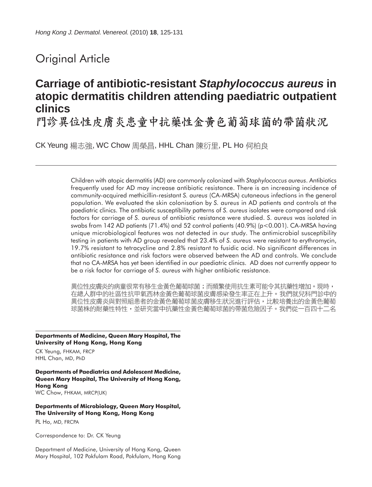## Original Article

# **Carriage of antibiotic-resistant** *Staphylococcus aureus* **in atopic dermatitis children attending paediatric outpatient clinics**

門診異位性皮膚炎患童中抗藥性金黃色葡萄球菌的帶菌狀況

CK Yeung 楊志強, WC Chow 周榮昌, HHL Chan 陳衍里, PL Ho 何柏良

Children with atopic dermatitis (AD) are commonly colonized with *Staphylococcus aureus*. Antibiotics frequently used for AD may increase antibiotic resistance. There is an increasing incidence of community-acquired methicillin-resistant *S. aureus* (CA-MRSA) cutaneous infections in the general population. We evaluated the skin colonisation by *S. aureus* in AD patients and controls at the paediatric clinics. The antibiotic susceptibility patterns of *S. aureus* isolates were compared and risk factors for carriage of *S. aureus* of antibiotic resistance were studied. *S. aureus* was isolated in swabs from 142 AD patients (71.4%) and 52 control patients (40.9%) (p<0.001). CA-MRSA having unique microbiological features was not detected in our study. The antimicrobial susceptibility testing in patients with AD group revealed that 23.4% of *S. aureus* were resistant to erythromycin, 19.7% resistant to tetracycline and 2.8% resistant to fusidic acid. No significant differences in antibiotic resistance and risk factors were observed between the AD and controls. We conclude that no CA-MRSA has yet been identified in our paediatric clinics. AD does not currently appear to be a risk factor for carriage of *S. aureus* with higher antibiotic resistance.

異位性皮膚炎的病童很常有移生金黃色葡萄球菌;而頻繁使用抗生素可能令其抗藥性增加。現時, 在總人群中的社區性抗甲氧西林金黃色葡萄球菌皮膚感染發生率正在上升。我們就兒科門診中的 異位性皮膚炎與對照組患者的金黃色葡萄球菌皮膚移生狀況進行評估,比較培養出的金黃色葡萄 球菌株的耐藥性特性,並研究當中抗藥性金黃色葡萄球菌的帶菌危險因子。我們從一百四十二名

**Departments of Medicine, Queen Mary Hospital, The University of Hong Kong, Hong Kong**

CK Yeung, FHKAM, FRCP HHL Chan, MD, PhD

**Departments of Paediatrics and Adolescent Medicine, Queen Mary Hospital, The University of Hong Kong, Hong Kong** WC Chow, FHKAM, MRCP(UK)

**Departments of Microbiology, Queen Mary Hospital, The University of Hong Kong, Hong Kong**

PL Ho, MD, FRCPA

Correspondence to: Dr. CK Yeung

Department of Medicine, University of Hong Kong, Queen Mary Hospital, 102 Pokfulam Road, Pokfulam, Hong Kong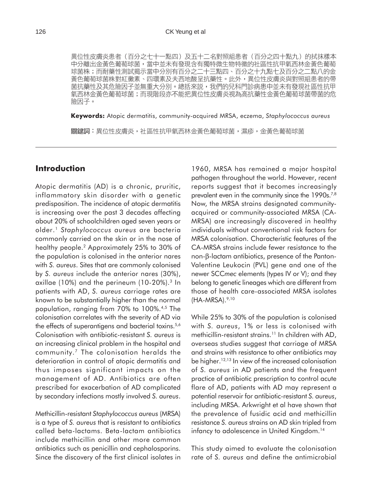異位性皮膚炎患者(百分之七十一點四)及五十二名對照組患者(百分之四十點九)的拭抹樣本 中分離出金黃色葡萄球菌,當中並未有發現含有獨特微生物特徵的社區性抗甲氧西林金黃色葡萄 球菌株;而耐藥性測試揭示當中分別有百分之二十三點四、百分之十九點七及百分之二點八的金 黃色葡萄球菌株對紅黴素、四環素及夫西地酸呈抗藥性。此外,異位性皮膚炎與對照組患者的帶 菌抗藥性及其危險因子並無重大分別。總括來説,我們的兒科門診病患中並未有發現社區性抗甲 氧西林金黃色葡萄球菌;而現階段亦不能把異位性皮膚炎視為高抗藥性金黃色葡萄球菌帶菌的危 險因子。

**Keywords:** Atopic dermatitis, community-acquired MRSA, eczema, *Staphylococcus aureus*

關鍵詞:異位性皮膚炎,社區性抗甲氧西林金黃色葡萄球菌,濕疹,金黃色葡萄球菌

#### **Introduction**

Atopic dermatitis (AD) is a chronic, pruritic, inflammatory skin disorder with a genetic predisposition. The incidence of atopic dermatitis is increasing over the past 3 decades affecting about 20% of schoolchildren aged seven years or older.1 *Staphylococcus aureus* are bacteria commonly carried on the skin or in the nose of healthy people.<sup>2</sup> Approximately 25% to 30% of the population is colonised in the anterior nares with *S. aureus*. Sites that are commonly colonised by *S. aureus* include the anterior nares (30%), axillae (10%) and the perineum (10-20%).3 In patients with AD, *S. aureus* carriage rates are known to be substantially higher than the normal population, ranging from 70% to 100%.4,5 The colonisation correlates with the severity of AD via the effects of superantigens and bacterial toxins.<sup>5,6</sup> Colonisation with antibiotic-resistant *S. aureus* is an increasing clinical problem in the hospital and community.7 The colonisation heralds the deterioration in control of atopic dermatitis and thus imposes significant impacts on the management of AD. Antibiotics are often prescribed for exacerbation of AD complicated by secondary infections mostly involved *S. aureus*.

Methicillin-resistant *Staphylococcus aureus* (MRSA) is a type of *S. aureus* that is resistant to antibiotics called beta-lactams. Beta-lactam antibiotics include methicillin and other more common antibiotics such as penicillin and cephalosporins. Since the discovery of the first clinical isolates in

1960, MRSA has remained a major hospital pathogen throughout the world. However, recent reports suggest that it becomes increasingly prevalent even in the community since the 1990s.<sup>7,8</sup> Now, the MRSA strains designated communityacquired or community-associated MRSA (CA-MRSA) are increasingly discovered in healthy individuals without conventional risk factors for MRSA colonisation. Characteristic features of the CA-MRSA strains include fewer resistance to the non-β-lactam antibiotics, presence of the Panton-Valentine Leukocin (PVL) gene and one of the newer SCC*mec* elements (types IV or V); and they belong to genetic lineages which are different from those of health care-associated MRSA isolates  $(HA-MRSA).<sup>9,10</sup>$ 

While 25% to 30% of the population is colonised with *S. aureus*, 1% or less is colonised with methicillin-resistant strains.<sup>11</sup> In children with AD, overseas studies suggest that carriage of MRSA and strains with resistance to other antibiotics may be higher.12,13 In view of the increased colonisation of *S. aureus* in AD patients and the frequent practice of antibiotic prescription to control acute flare of AD, patients with AD may represent a potential reservoir for antibiotic-resistant *S. aureus*, including MRSA. Arkwright et al have shown that the prevalence of fusidic acid and methicillin resistance *S. aureus* strains on AD skin tripled from infancy to adolescence in United Kingdom.<sup>14</sup>

This study aimed to evaluate the colonisation rate of *S. aureus* and define the antimicrobial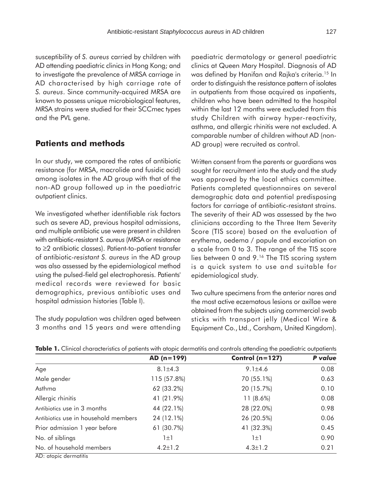susceptibility of *S. aureus* carried by children with AD attending paediatric clinics in Hong Kong; and to investigate the prevalence of MRSA carriage in AD characterised by high carriage rate of *S. aureus*. Since community-acquired MRSA are known to possess unique microbiological features, MRSA strains were studied for their SCCmec types and the PVL gene.

#### **Patients and methods**

In our study, we compared the rates of antibiotic resistance (for MRSA, macrolide and fusidic acid) among isolates in the AD group with that of the non-AD group followed up in the paediatric outpatient clinics.

We investigated whether identifiable risk factors such as severe AD, previous hospital admissions, and multiple antibiotic use were present in children with antibiotic-resistant *S. aureus* (MRSA or resistance to ≥2 antibiotic classes). Patient-to-patient transfer of antibiotic-*resistant S. aureus* in the AD group was also assessed by the epidemiological method using the pulsed-field gel electrophoresis. Patients' medical records were reviewed for basic demographics, previous antibiotic uses and hospital admission histories (Table I).

The study population was children aged between 3 months and 15 years and were attending paediatric dermatology or general paediatric clinics at Queen Mary Hospital. Diagnosis of AD was defined by Hanifan and Rajka's criteria.15 In order to distinguish the resistance pattern of isolates in outpatients from those acquired as inpatients, children who have been admitted to the hospital within the last 12 months were excluded from this study Children with airway hyper-reactivity, asthma, and allergic rhinitis were not excluded. A comparable number of children without AD (non-AD group) were recruited as control.

Written consent from the parents or guardians was sought for recruitment into the study and the study was approved by the local ethics committee. Patients completed questionnaires on several demographic data and potential predisposing factors for carriage of antibiotic-resistant strains. The severity of their AD was assessed by the two clinicians according to the Three Item Severity Score (TIS score) based on the evaluation of erythema, oedema / papule and excoriation on a scale from 0 to 3. The range of the TIS score lies between 0 and 9.16 The TIS scoring system is a quick system to use and suitable for epidemiological study.

Two culture specimens from the anterior nares and the most active eczematous lesions or axillae were obtained from the subjects using commercial swab sticks with transport jelly (Medical Wire & Equipment Co., Ltd., Corsham, United Kingdom).

| AD (n=199)    | Control ( $n=127$ ) | P value |
|---------------|---------------------|---------|
| $8.1 \pm 4.3$ | $9.1 \pm 4.6$       | 0.08    |
| 115 (57.8%)   | 70 (55.1%)          | 0.63    |
| 62 (33.2%)    | 20 (15.7%)          | 0.10    |
| 41 (21.9%)    | $11(8.6\%)$         | 0.08    |
| 44 (22.1%)    | 28 (22.0%)          | 0.98    |
| 24 (12.1%)    | 26 (20.5%)          | 0.06    |
| 61 (30.7%)    | 41 (32.3%)          | 0.45    |
| $1\pm1$       | $1\pm1$             | 0.90    |
| $4.2 \pm 1.2$ | $4.3 \pm 1.2$       | 0.21    |
|               |                     |         |

**Table 1.** Clinical characteristics of patients with atopic dermatitis and controls attending the paediatric outpatients

AD: atopic dermatitis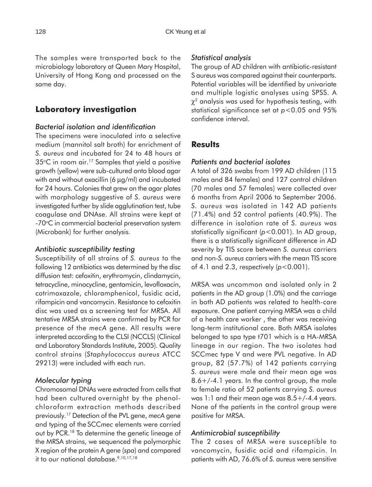The samples were transported back to the microbiology laboratory at Queen Mary Hospital, University of Hong Kong and processed on the same day.

### **Laboratory investigation**

#### *Bacterial isolation and identification*

The specimens were inoculated into a selective medium (mannitol salt broth) for enrichment of *S. aureus* and incubated for 24 to 48 hours at 35°C in room air.17 Samples that yield a positive growth (yellow) were sub-cultured onto blood agar with and without oxacillin (6 µg/ml) and incubated for 24 hours. Colonies that grew on the agar plates with morphology suggestive of *S. aureus* were investigated further by slide agglutination test, tube coagulase and DNAse. All strains were kept at -70°C in commercial bacterial preservation system (Microbank) for further analysis.

#### *Antibiotic susceptibility testing*

Susceptibility of all strains of *S. aureus* to the following 12 antibiotics was determined by the disc diffusion test: cefoxitin, erythromycin, clindamycin, tetracycline, minocycline, gentamicin, levofloxacin, cotrimoxazole, chloramphenicol, fusidic acid, rifampicin and vancomycin. Resistance to cefoxitin disc was used as a screening test for MRSA. All tentative MRSA strains were confirmed by PCR for presence of the *mecA* gene. All results were interpreted according to the CLSI (NCCLS) (Clinical and Laboratory Standards Institute, 2005). Quality control strains (*Staphylococcus aureus* ATCC 29213) were included with each run.

#### *Molecular typing*

Chromosomal DNAs were extracted from cells that had been cultured overnight by the phenolchloroform extraction methods described previously.17 Detection of the PVL gene, *mecA* gene and typing of the SCC*mec* elements were carried out by PCR.18 To determine the genetic lineage of the MRSA strains, we sequenced the polymorphic X region of the protein A gene (*spa*) and compared it to our national database.9,10,17,18

#### *Statistical analysis*

The group of AD children with antibiotic-resistant S aureus was compared against their counterparts. Potential variables will be identified by univariate and multiple logistic analyses using SPSS. A  $\chi^2$  analysis was used for hypothesis testing, with statistical significance set at *p*<0.05 and 95% confidence interval.

## **Results**

#### *Patients and bacterial isolates*

A total of 326 swabs from 199 AD children (115 males and 84 females) and 127 control children (70 males and 57 females) were collected over 6 months from April 2006 to September 2006. *S. aureus* was isolated in 142 AD patients (71.4%) and 52 control patients (40.9%). The difference in isolation rate of *S. aureus* was statistically significant (*p*<0.001). In AD group, there is a statistically significant difference in AD severity by TIS score between *S. aureus* carriers and non-*S. aureus* carriers with the mean TIS score of 4.1 and 2.3, respectively (*p*<0.001).

MRSA was uncommon and isolated only in 2 patients in the AD group (1.0%) and the carriage in both AD patients was related to health-care exposure. One patient carrying MRSA was a child of a health care worker , the other was receiving long-term institutional care. Both MRSA isolates belonged to spa type t701 which is a HA-MRSA lineage in our region. The two isolates had SCCmec type V and were PVL negative. In AD group, 82 (57.7%) of 142 patients carrying *S. aureus* were male and their mean age was 8.6+/-4.1 years. In the control group, the male to female ratio of 52 patients carrying *S. aureus* was 1:1 and their mean age was 8.5+/-4.4 years. None of the patients in the control group were positive for MRSA.

#### *Antimicrobial susceptibility*

The 2 cases of MRSA were susceptible to vancomycin, fusidic acid and rifampicin. In patients with AD, 76.6% of *S. aureus* were sensitive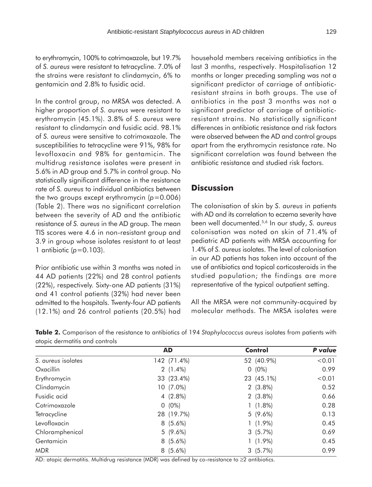to erythromycin, 100% to cotrimoxazole, but 19.7% of *S. aureus* were resistant to tetracycline. 7.0% of the strains were resistant to clindamycin, 6% to gentamicin and 2.8% to fusidic acid.

In the control group, no MRSA was detected. A higher proportion of *S. aureus* were resistant to erythromycin (45.1%). 3.8% of *S. aureus* were resistant to clindamycin and fusidic acid. 98.1% of *S. aureus* were sensitive to cotrimoxazole. The susceptibilities to tetracycline were 91%, 98% for levofloxacin and 98% for gentamicin. The multidrug resistance isolates were present in 5.6% in AD group and 5.7% in control group. No statistically significant difference in the resistance rate of *S. aureus* to individual antibiotics between the two groups except erythromycin (*p*=0.006) (Table 2). There was no significant correlation between the severity of AD and the antibiotic resistance of *S. aureus* in the AD group. The mean TIS scores were 4.6 in non-resistant group and 3.9 in group whose isolates resistant to at least 1 antibiotic (*p*=0.103).

Prior antibiotic use within 3 months was noted in 44 AD patients (22%) and 28 control patients (22%), respectively. Sixty-one AD patients (31%) and 41 control patients (32%) had never been admitted to the hospitals. Twenty-four AD patients (12.1%) and 26 control patients (20.5%) had household members receiving antibiotics in the last 3 months, respectively. Hospitalisation 12 months or longer preceding sampling was not a significant predictor of carriage of antibioticresistant strains in both groups. The use of antibiotics in the past 3 months was not a significant predictor of carriage of antibioticresistant strains. No statistically significant differences in antibiotic resistance and risk factors were observed between the AD and control groups apart from the erythromycin resistance rate. No significant correlation was found between the antibiotic resistance and studied risk factors.

## **Discussion**

The colonisation of skin by *S. aureus* in patients with AD and its correlation to eczema severity have been well documented.5,6 In our study, *S. aureus* colonisation was noted on skin of 71.4% of pediatric AD patients with MRSA accounting for 1.4% of *S. aureus* isolates. The level of colonisation in our AD patients has taken into account of the use of antibiotics and topical corticosteroids in the studied population; the findings are more representative of the typical outpatient setting.

All the MRSA were not community-acquired by molecular methods. The MRSA isolates were

| Table 2. Comparison of the resistance to antibiotics of 194 Staphylococcus aureus isolates from patients with |  |  |  |  |  |
|---------------------------------------------------------------------------------------------------------------|--|--|--|--|--|
| atopic dermatitis and controls                                                                                |  |  |  |  |  |

|                    | <b>AD</b>   | <b>Control</b> | P value |
|--------------------|-------------|----------------|---------|
| S. aureus isolates | 142 (71.4%) | 52 (40.9%)     | < 0.01  |
| Oxacillin          | $2(1.4\%)$  | $(0\%)$<br>0   | 0.99    |
| Erythromycin       | 33 (23.4%)  | 23 (45.1%)     | < 0.01  |
| Clindamycin        | 10 (7.0%)   | $2(3.8\%)$     | 0.52    |
| Fusidic acid       | $4(2.8\%)$  | $2(3.8\%)$     | 0.66    |
| Cotrimoxazole      | $0(0\%)$    | $1(1.8\%)$     | 0.28    |
| Tetracycline       | 28 (19.7%)  | $5(9.6\%)$     | 0.13    |
| Levofloxacin       | $8(5.6\%)$  | $1(1.9\%)$     | 0.45    |
| Chloramphenicol    | $5(9.6\%)$  | 3(5.7%)        | 0.69    |
| Gentamicin         | $8(5.6\%)$  | $(1.9\%)$      | 0.45    |
| <b>MDR</b>         | $8(5.6\%)$  | 3(5.7%)        | 0.99    |

AD: atopic dermatitis. Multidrug resistance (MDR) was defined by co-resistance to ≥2 antibiotics.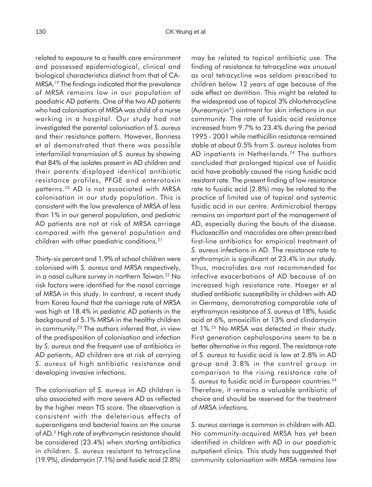related to exposure to a health care environment and possessed epidemiological, clinical and biological characteristics distinct from that of CA-MRSA.19 The findings indicated that the prevalence of MRSA remains low in our population of paediatric AD patients. One of the two AD patients who had colonisation of MRSA was child of a nurse working in a hospital. Our study had not investigated the parental colonisation of *S. aureus* and their resistance pattern. However, Bonness et al demonstrated that there was possible interfamilial transmission of *S. aureus* by showing that 84% of the isolates present in AD children and their parents displayed identical antibiotic resistance profiles, PFGE and enterotoxin patterns.20 AD is not associated with MRSA colonisation in our study population. This is consistent with the low prevalence of MRSA of less than 1% in our general population, and pediatric AD patients are not at risk of MRSA carriage compared with the general population and children with other paediatric conditions.21

Thirty-six percent and 1.9% of school children were colonised with *S. aureus* and MRSA respectively, in a nasal culture survey in northern Taiwan.<sup>22</sup> No risk factors were identified for the nasal carriage of MRSA in this study. In contrast, a recent study from Korea found that the carriage rate of MRSA was high at 18.4% in pediatric AD patients in the background of 5.1% MRSA in the healthy children in community.<sup>23</sup> The authors inferred that, in view of the predisposition of colonisation and infection by *S. aureus* and the frequent use of antibiotics in AD patients, AD children are at risk of carrying *S. aureus* of high antibiotic resistance and developing invasive infections.

The colonisation of *S. aureus* in AD children is also associated with more severe AD as reflected by the higher mean TIS score. The observation is consistent with the deleterious effects of superantigens and bacterial toxins on the course of AD.3 High rate of erythromycin resistance should be considered (23.4%) when starting antibiotics in children. *S. aureus* resistant to tetracycline (19.9%), clindamycin (7.1%) and fusidic acid (2.8%) may be related to topical antibiotic use. The finding of resistance to tetracycline was unusual as oral tetracycline was seldom prescribed to children below 12 years of age because of the side effect on dentition. This might be related to the widespread use of topical 3% chlortetracycline (Aureomycin®) ointment for skin infections in our community. The rate of fusidic acid resistance increased from 9.7% to 23.4% during the period 1995 - 2001 while methicillin resistance remained stable at about 0.5% from *S. aureus* isolates from AD inpatients in Netherlands.<sup>24</sup> The authors concluded that prolonged topical use of fusidic acid have probably caused the rising fusidic acid resistant rate. The present finding of low resistance rate to fusidic acid (2.8%) may be related to the practice of limited use of topical and systemic fusidic acid in our centre. Antimicrobial therapy remains an important part of the management of AD, especially during the bouts of the disease. Flucloxacillin and macrolides are often prescribed first-line antibiotics for empirical treatment of *S. aureus* infections in AD. The resistance rate to erythromycin is significant at 23.4% in our study. Thus, macrolides are not recommended for infective exacerbations of AD because of an increased high resistance rate. Hoeger et al studied antibiotic susceptibility in children with AD in Germany, demonstrating comparable rate of erythromycin resistance of *S. aureus* at 18%, fusidic acid at 6%, amoxicillin at 13% and clindamycin at 1%.25 No MRSA was detected in their study. First generation cephalosporins seem to be a better alternative in this regard. The resistance rate of *S. aureus* to fusidic acid is low at 2.8% in AD group and 3.8% in the control group in comparison to the rising resistance rate of S. aureus to fusidic acid in European countries.<sup>24</sup> Therefore, it remains a valuable antibiotic of choice and should be reserved for the treatment of MRSA infections.

*S. aureus* carriage is common in children with AD. No community-acquired MRSA has yet been identified in children with AD in our paediatric outpatient clinics. This study has suggested that community colonisation with MRSA remains low